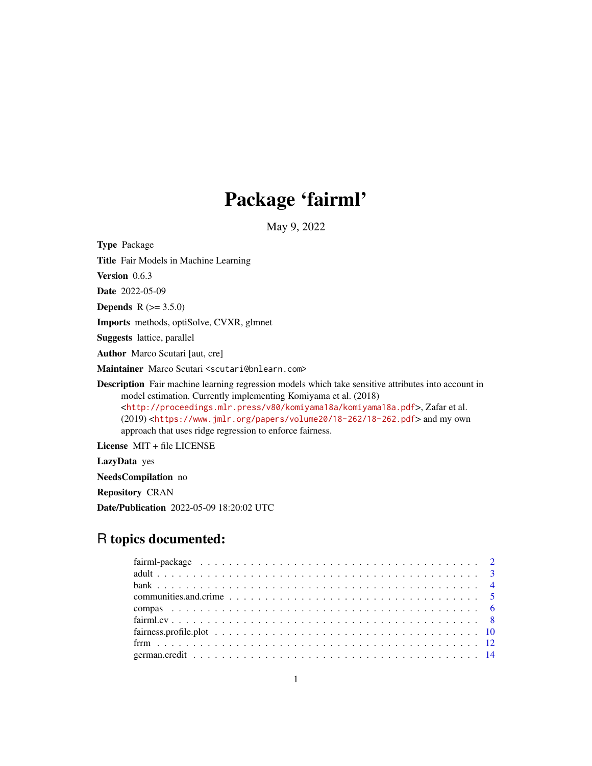## Package 'fairml'

May 9, 2022

Type Package

Title Fair Models in Machine Learning

Version 0.6.3

Date 2022-05-09

**Depends**  $R (= 3.5.0)$ 

Imports methods, optiSolve, CVXR, glmnet

Suggests lattice, parallel

Author Marco Scutari [aut, cre]

Maintainer Marco Scutari <scutari@bnlearn.com>

Description Fair machine learning regression models which take sensitive attributes into account in model estimation. Currently implementing Komiyama et al. (2018) <<http://proceedings.mlr.press/v80/komiyama18a/komiyama18a.pdf>>, Zafar et al. (2019) <<https://www.jmlr.org/papers/volume20/18-262/18-262.pdf>> and my own approach that uses ridge regression to enforce fairness.

License MIT + file LICENSE

LazyData yes

NeedsCompilation no

Repository CRAN

Date/Publication 2022-05-09 18:20:02 UTC

## R topics documented: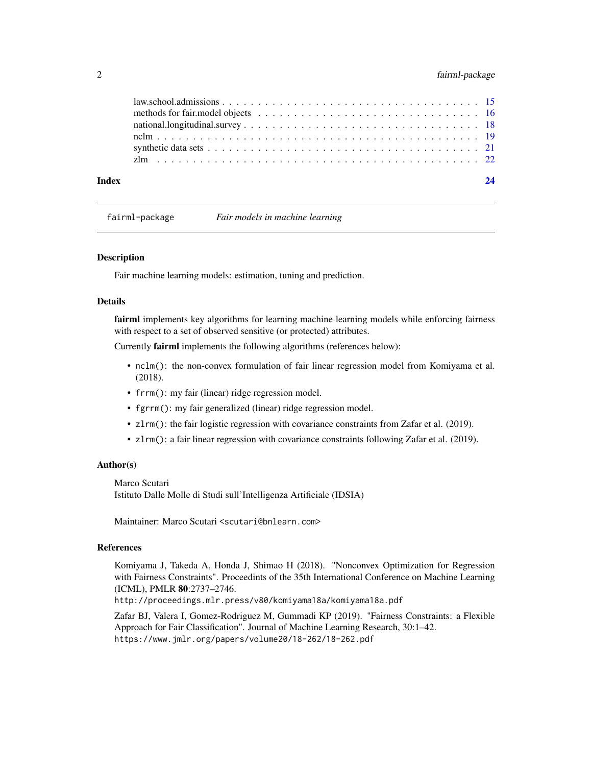#### <span id="page-1-0"></span>2 fairml-package

fairml-package *Fair models in machine learning*

#### **Description**

Fair machine learning models: estimation, tuning and prediction.

#### Details

fairml implements key algorithms for learning machine learning models while enforcing fairness with respect to a set of observed sensitive (or protected) attributes.

Currently fairml implements the following algorithms (references below):

- nclm(): the non-convex formulation of fair linear regression model from Komiyama et al. (2018).
- frrm(): my fair (linear) ridge regression model.
- fgrrm(): my fair generalized (linear) ridge regression model.
- zlrm(): the fair logistic regression with covariance constraints from Zafar et al. (2019).
- zlrm(): a fair linear regression with covariance constraints following Zafar et al. (2019).

#### Author(s)

Marco Scutari Istituto Dalle Molle di Studi sull'Intelligenza Artificiale (IDSIA)

Maintainer: Marco Scutari <scutari@bnlearn.com>

#### References

Komiyama J, Takeda A, Honda J, Shimao H (2018). "Nonconvex Optimization for Regression with Fairness Constraints". Proceedints of the 35th International Conference on Machine Learning (ICML), PMLR 80:2737–2746.

http://proceedings.mlr.press/v80/komiyama18a/komiyama18a.pdf

Zafar BJ, Valera I, Gomez-Rodriguez M, Gummadi KP (2019). "Fairness Constraints: a Flexible Approach for Fair Classification". Journal of Machine Learning Research, 30:1–42. https://www.jmlr.org/papers/volume20/18-262/18-262.pdf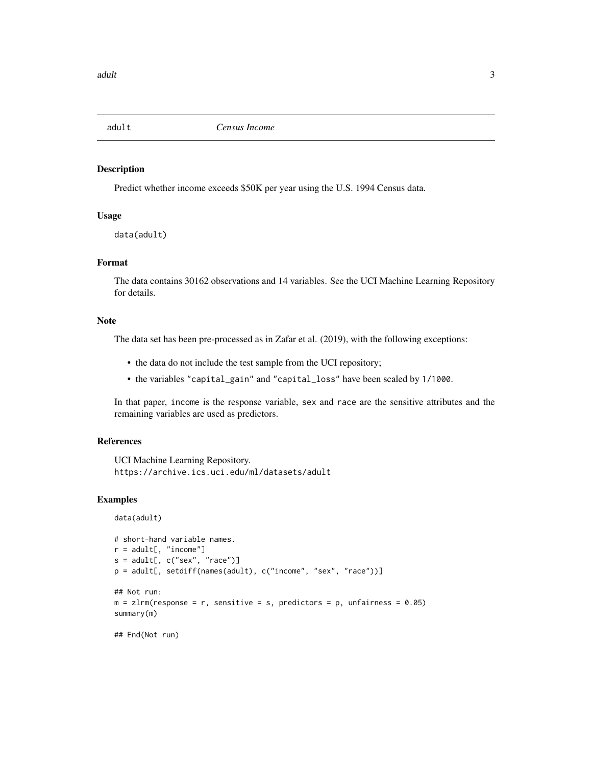<span id="page-2-0"></span>

#### Description

Predict whether income exceeds \$50K per year using the U.S. 1994 Census data.

#### Usage

data(adult)

#### Format

The data contains 30162 observations and 14 variables. See the UCI Machine Learning Repository for details.

#### Note

The data set has been pre-processed as in Zafar et al. (2019), with the following exceptions:

- the data do not include the test sample from the UCI repository;
- the variables "capital\_gain" and "capital\_loss" have been scaled by 1/1000.

In that paper, income is the response variable, sex and race are the sensitive attributes and the remaining variables are used as predictors.

#### References

UCI Machine Learning Repository. https://archive.ics.uci.edu/ml/datasets/adult

#### Examples

data(adult)

```
# short-hand variable names.
r = adult[, "income"]
s = adult[, c("sex", "race")p = adult[, setdiff(names(adult), c("income", "sex", "race"))]
## Not run:
m = zlm(response = r, sensitive = s, predictors = p, unfairness = 0.05)
summary(m)
## End(Not run)
```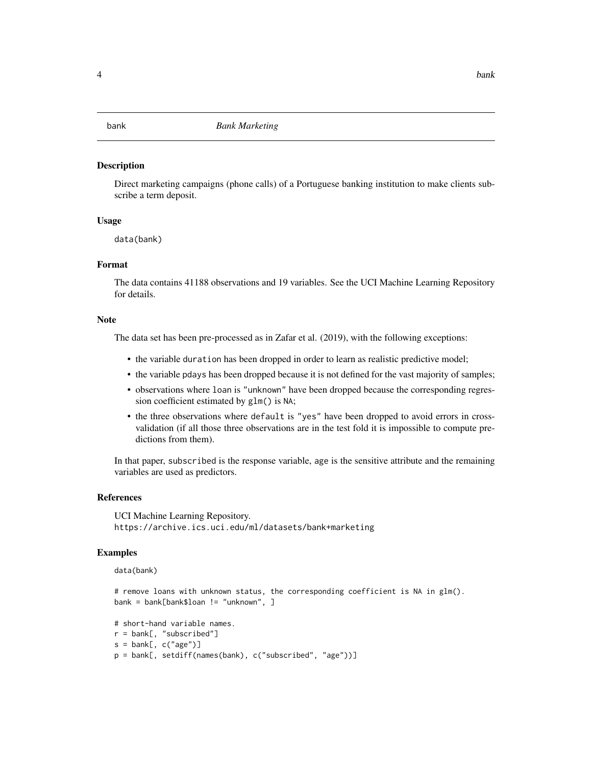#### <span id="page-3-0"></span>**Description**

Direct marketing campaigns (phone calls) of a Portuguese banking institution to make clients subscribe a term deposit.

#### Usage

data(bank)

#### Format

The data contains 41188 observations and 19 variables. See the UCI Machine Learning Repository for details.

#### **Note**

The data set has been pre-processed as in Zafar et al. (2019), with the following exceptions:

- the variable duration has been dropped in order to learn as realistic predictive model;
- the variable pdays has been dropped because it is not defined for the vast majority of samples;
- observations where loan is "unknown" have been dropped because the corresponding regression coefficient estimated by glm() is NA;
- the three observations where default is "yes" have been dropped to avoid errors in crossvalidation (if all those three observations are in the test fold it is impossible to compute predictions from them).

In that paper, subscribed is the response variable, age is the sensitive attribute and the remaining variables are used as predictors.

#### References

UCI Machine Learning Repository. https://archive.ics.uci.edu/ml/datasets/bank+marketing

#### Examples

```
data(bank)
```
# remove loans with unknown status, the corresponding coefficient is NA in glm(). bank = bank[bank\$loan != "unknown", ]

```
# short-hand variable names.
r = bank[, "subscribed"]
s = bank[, c("age")]
p = bank[, setdiff(names(bank), c("subscribed", "age"))]
```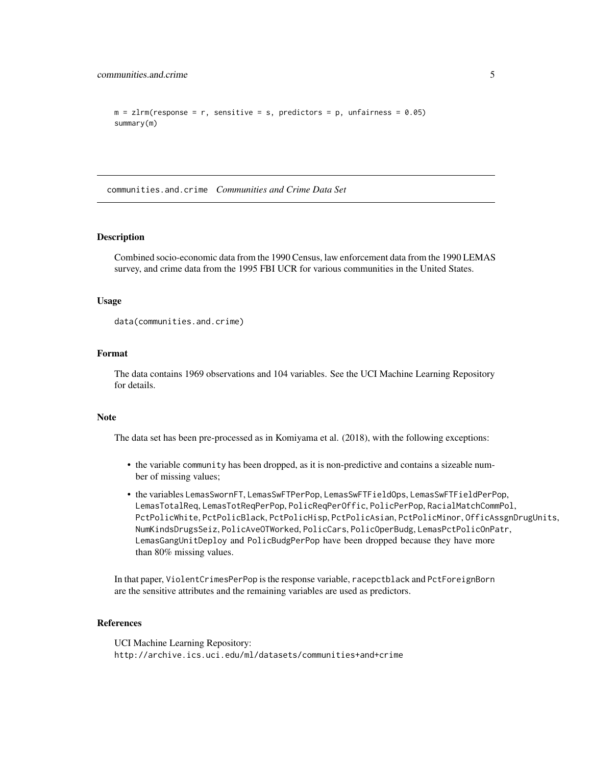```
m = zlm(response = r, sensitive = s, predictors = p, unfairness = 0.05)
summary(m)
```
communities.and.crime *Communities and Crime Data Set*

#### Description

Combined socio-economic data from the 1990 Census, law enforcement data from the 1990 LEMAS survey, and crime data from the 1995 FBI UCR for various communities in the United States.

#### Usage

data(communities.and.crime)

#### Format

The data contains 1969 observations and 104 variables. See the UCI Machine Learning Repository for details.

#### Note

The data set has been pre-processed as in Komiyama et al. (2018), with the following exceptions:

- the variable community has been dropped, as it is non-predictive and contains a sizeable number of missing values;
- the variables LemasSwornFT, LemasSwFTPerPop, LemasSwFTFieldOps, LemasSwFTFieldPerPop, LemasTotalReq, LemasTotReqPerPop, PolicReqPerOffic, PolicPerPop, RacialMatchCommPol, PctPolicWhite, PctPolicBlack, PctPolicHisp, PctPolicAsian, PctPolicMinor, OfficAssgnDrugUnits, NumKindsDrugsSeiz, PolicAveOTWorked, PolicCars, PolicOperBudg, LemasPctPolicOnPatr, LemasGangUnitDeploy and PolicBudgPerPop have been dropped because they have more than 80% missing values.

In that paper, ViolentCrimesPerPop is the response variable, racepctblack and PctForeignBorn are the sensitive attributes and the remaining variables are used as predictors.

#### References

UCI Machine Learning Repository: http://archive.ics.uci.edu/ml/datasets/communities+and+crime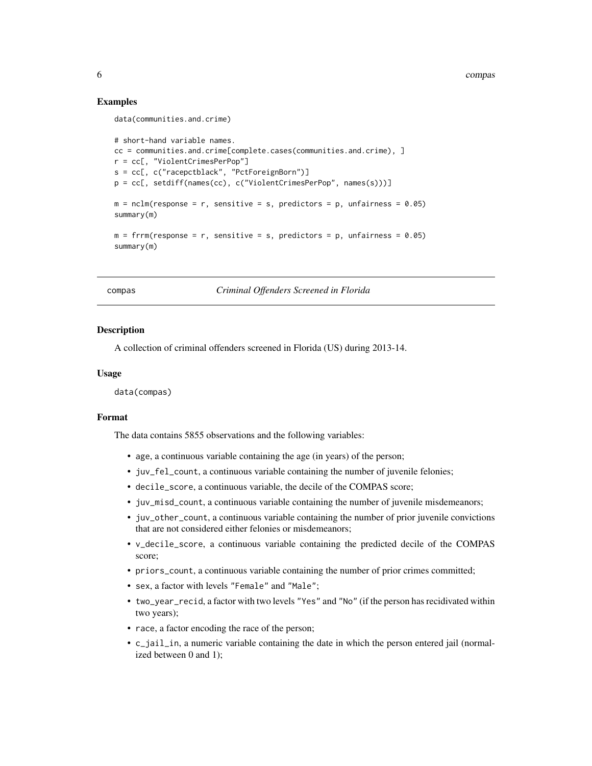6 compassion of the compassion of the compassion of the compassion of the compassion of the compassion of the compassion of the compassion of the compassion of the compassion of the compassion of the compassion of the comp

#### Examples

```
data(communities.and.crime)
```

```
# short-hand variable names.
cc = communities.and.crime[complete.cases(communities.and.crime), ]
r = cc[, "ViolentCrimesPerPop"]
s = cc[, c("racepctblack", "PctForeignBorn")]
p = cc[, setdiff(names(cc), c("ViolentCrimesPerPop", names(s)))]
m = \text{nclm}(\text{response} = r, \text{ sensitive} = s, \text{predictors} = p, \text{unfairness} = 0.05)summary(m)
m = frrm(response = r, sensitive = s, predictors = p, unfairness = 0.05)
summary(m)
```
compas *Criminal Offenders Screened in Florida*

#### Description

A collection of criminal offenders screened in Florida (US) during 2013-14.

#### Usage

data(compas)

#### Format

The data contains 5855 observations and the following variables:

- age, a continuous variable containing the age (in years) of the person;
- juv\_fel\_count, a continuous variable containing the number of juvenile felonies;
- decile\_score, a continuous variable, the decile of the COMPAS score;
- juv\_misd\_count, a continuous variable containing the number of juvenile misdemeanors;
- juv\_other\_count, a continuous variable containing the number of prior juvenile convictions that are not considered either felonies or misdemeanors;
- v\_decile\_score, a continuous variable containing the predicted decile of the COMPAS score;
- priors\_count, a continuous variable containing the number of prior crimes committed;
- sex, a factor with levels "Female" and "Male";
- two\_year\_recid, a factor with two levels "Yes" and "No" (if the person has recidivated within two years);
- race, a factor encoding the race of the person;
- c\_jail\_in, a numeric variable containing the date in which the person entered jail (normalized between 0 and 1);

<span id="page-5-0"></span>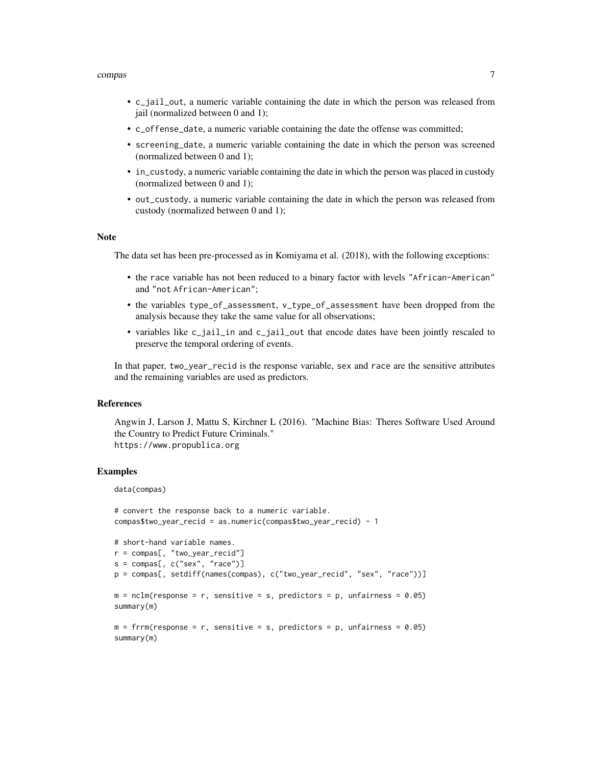#### compas 7

- c\_jail\_out, a numeric variable containing the date in which the person was released from jail (normalized between 0 and 1);
- c\_offense\_date, a numeric variable containing the date the offense was committed;
- screening\_date, a numeric variable containing the date in which the person was screened (normalized between 0 and 1);
- in\_custody, a numeric variable containing the date in which the person was placed in custody (normalized between 0 and 1);
- out\_custody, a numeric variable containing the date in which the person was released from custody (normalized between 0 and 1);

#### Note

The data set has been pre-processed as in Komiyama et al. (2018), with the following exceptions:

- the race variable has not been reduced to a binary factor with levels "African-American" and "not African-American";
- the variables type\_of\_assessment, v\_type\_of\_assessment have been dropped from the analysis because they take the same value for all observations;
- variables like c\_jail\_in and c\_jail\_out that encode dates have been jointly rescaled to preserve the temporal ordering of events.

In that paper, two\_year\_recid is the response variable, sex and race are the sensitive attributes and the remaining variables are used as predictors.

#### References

Angwin J, Larson J, Mattu S, Kirchner L (2016). "Machine Bias: Theres Software Used Around the Country to Predict Future Criminals." https://www.propublica.org

#### Examples

```
data(compas)
```

```
# convert the response back to a numeric variable.
compas$two_year_recid = as.numeric(compas$two_year_recid) - 1
```

```
# short-hand variable names.
r = compas[, "two_year_recid"]
s = \text{compas}[, c("sex", "race")p = compas[, setdiff(names(compas), c("two_year_recid", "sex", "race"))]
m = nclm(response = r, sensitive = s, predictors = p, unfairness = 0.05)
summary(m)
m = frrm(response = r, sensitive = s, predictors = p, unfairness = <math>0.05</math>)summary(m)
```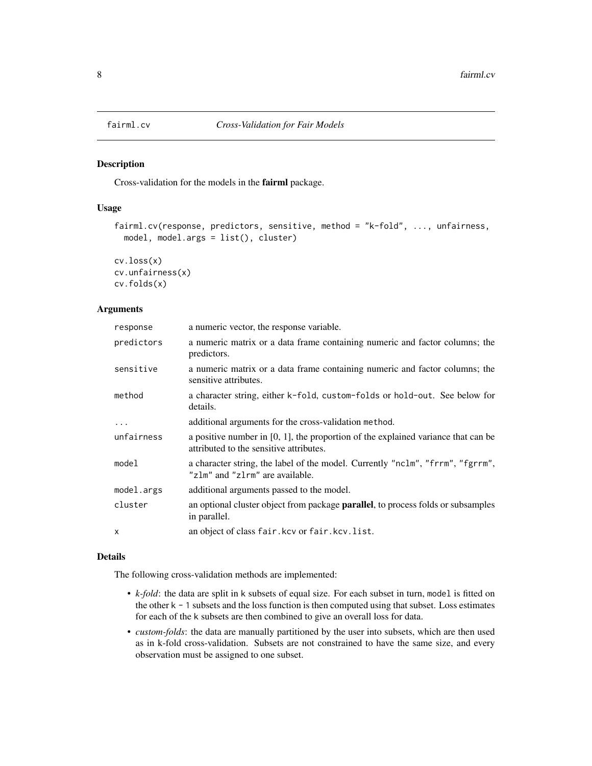<span id="page-7-0"></span>

#### Description

Cross-validation for the models in the fairml package.

#### Usage

```
fairml.cv(response, predictors, sensitive, method = "k-fold", ..., unfairness,
 model, model.args = list(), cluster)
```

```
cv.loss(x)
cv.unfairness(x)
cv.folds(x)
```
#### Arguments

| response   | a numeric vector, the response variable.                                                                                        |
|------------|---------------------------------------------------------------------------------------------------------------------------------|
| predictors | a numeric matrix or a data frame containing numeric and factor columns; the<br>predictors.                                      |
| sensitive  | a numeric matrix or a data frame containing numeric and factor columns; the<br>sensitive attributes.                            |
| method     | a character string, either k-fold, custom-folds or hold-out. See below for<br>details.                                          |
| $\cdots$   | additional arguments for the cross-validation method.                                                                           |
| unfairness | a positive number in $[0, 1]$ , the proportion of the explained variance that can be<br>attributed to the sensitive attributes. |
| model      | a character string, the label of the model. Currently "nclm", "frrm", "fgrrm",<br>"zlm" and "zlrm" are available.               |
| model.args | additional arguments passed to the model.                                                                                       |
| cluster    | an optional cluster object from package <b>parallel</b> , to process folds or subsamples<br>in parallel.                        |
| X          | an object of class fair. kcv or fair. kcv. list.                                                                                |

#### Details

The following cross-validation methods are implemented:

- *k-fold*: the data are split in k subsets of equal size. For each subset in turn, model is fitted on the other  $k - 1$  subsets and the loss function is then computed using that subset. Loss estimates for each of the k subsets are then combined to give an overall loss for data.
- *custom-folds*: the data are manually partitioned by the user into subsets, which are then used as in k-fold cross-validation. Subsets are not constrained to have the same size, and every observation must be assigned to one subset.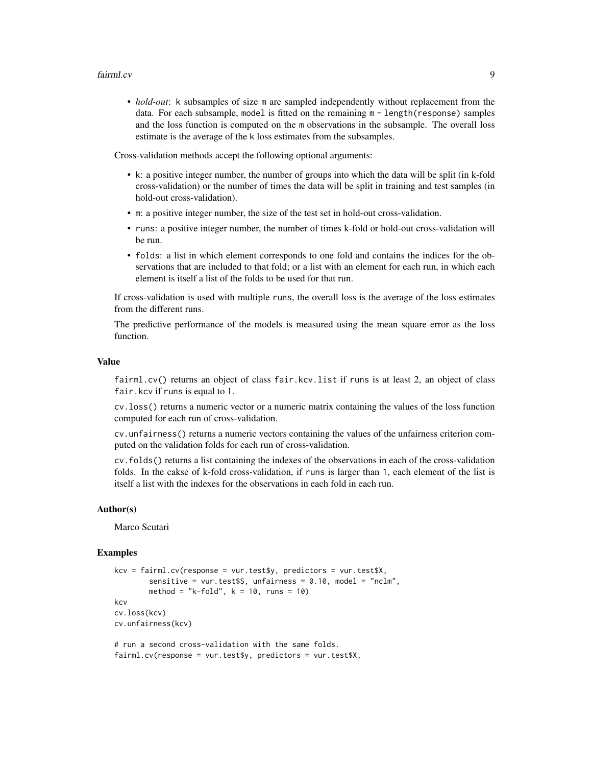#### fairml.cv 9

• *hold-out*: k subsamples of size m are sampled independently without replacement from the data. For each subsample, model is fitted on the remaining m - length(response) samples and the loss function is computed on the m observations in the subsample. The overall loss estimate is the average of the k loss estimates from the subsamples.

Cross-validation methods accept the following optional arguments:

- k: a positive integer number, the number of groups into which the data will be split (in k-fold cross-validation) or the number of times the data will be split in training and test samples (in hold-out cross-validation).
- m: a positive integer number, the size of the test set in hold-out cross-validation.
- runs: a positive integer number, the number of times k-fold or hold-out cross-validation will be run.
- folds: a list in which element corresponds to one fold and contains the indices for the observations that are included to that fold; or a list with an element for each run, in which each element is itself a list of the folds to be used for that run.

If cross-validation is used with multiple runs, the overall loss is the average of the loss estimates from the different runs.

The predictive performance of the models is measured using the mean square error as the loss function.

#### Value

fairml.cv() returns an object of class fair.kcv.list if runs is at least 2, an object of class fair.kcv if runs is equal to 1.

cv.loss() returns a numeric vector or a numeric matrix containing the values of the loss function computed for each run of cross-validation.

cv.unfairness() returns a numeric vectors containing the values of the unfairness criterion computed on the validation folds for each run of cross-validation.

cv.folds() returns a list containing the indexes of the observations in each of the cross-validation folds. In the cakse of k-fold cross-validation, if runs is larger than 1, each element of the list is itself a list with the indexes for the observations in each fold in each run.

#### Author(s)

Marco Scutari

#### Examples

```
kcv = fairml.cv(response = vur.test$y, predictors = vur.test$X,
       sensitive = vur.test$S, unfairness = 0.10, model = "nclm",
       method = "k-fold", k = 10, runs = 10)
kcv
cv.loss(kcv)
cv.unfairness(kcv)
# run a second cross-validation with the same folds.
fairml.cv(response = vur.test$y, predictors = vur.test$X,
```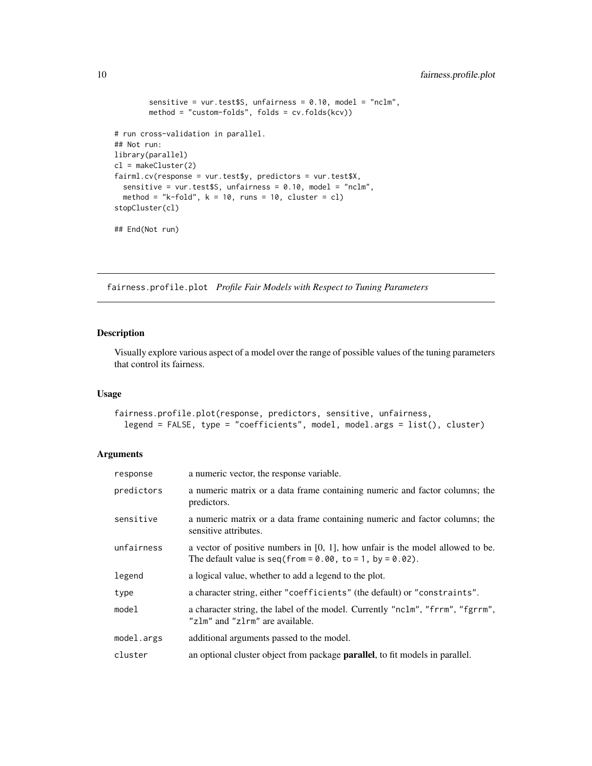```
sensitive = vur.test$S, unfairness = 0.10, model = "nclm",
        method = "custom-folds", folds = cv.folds(kcv))
# run cross-validation in parallel.
## Not run:
library(parallel)
cl = makeCluster(2)
fairml.cv(response = vur.test$y, predictors = vur.test$X,
  sensitive = vur.test$S, unfairness = 0.10, model = "nclm",
  method = "k-fold", k = 10, runs = 10, cluster = cl)
stopCluster(cl)
## End(Not run)
```
fairness.profile.plot *Profile Fair Models with Respect to Tuning Parameters*

#### Description

Visually explore various aspect of a model over the range of possible values of the tuning parameters that control its fairness.

#### Usage

```
fairness.profile.plot(response, predictors, sensitive, unfairness,
  legend = FALSE, type = "coefficients", model, model.args = list(), cluster)
```
#### Arguments

| response   | a numeric vector, the response variable.                                                                                                             |
|------------|------------------------------------------------------------------------------------------------------------------------------------------------------|
| predictors | a numeric matrix or a data frame containing numeric and factor columns; the<br>predictors.                                                           |
| sensitive  | a numeric matrix or a data frame containing numeric and factor columns; the<br>sensitive attributes.                                                 |
| unfairness | a vector of positive numbers in $[0, 1]$ , how unfair is the model allowed to be.<br>The default value is seq(from = $0.00$ , to = 1, by = $0.02$ ). |
| legend     | a logical value, whether to add a legend to the plot.                                                                                                |
| type       | a character string, either "coefficients" (the default) or "constraints".                                                                            |
| model      | a character string, the label of the model. Currently "nclm", "frrm", "fgrrm",<br>"zlm" and "zlrm" are available.                                    |
| model.args | additional arguments passed to the model.                                                                                                            |
| cluster    | an optional cluster object from package <b>parallel</b> , to fit models in parallel.                                                                 |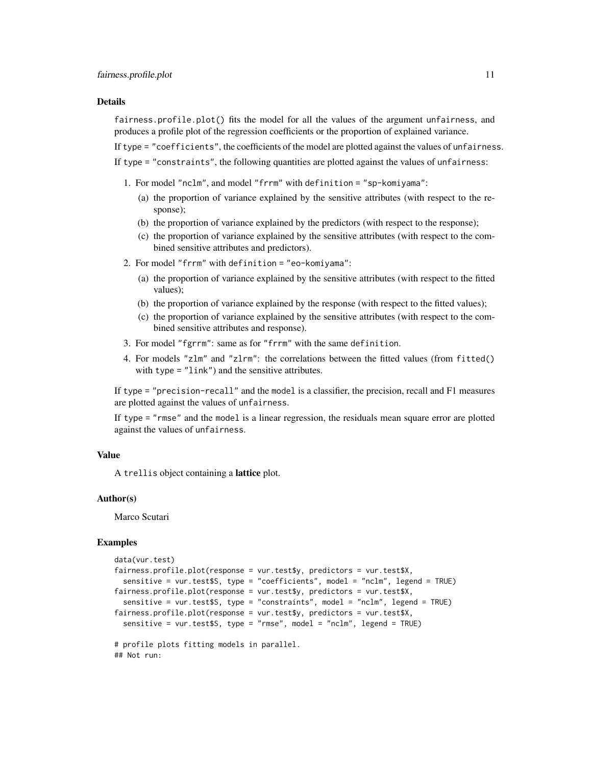#### Details

fairness.profile.plot() fits the model for all the values of the argument unfairness, and produces a profile plot of the regression coefficients or the proportion of explained variance.

If type = "coefficients", the coefficients of the model are plotted against the values of unfairness.

If type = "constraints", the following quantities are plotted against the values of unfairness:

- 1. For model "nclm", and model "frrm" with definition = "sp-komiyama":
	- (a) the proportion of variance explained by the sensitive attributes (with respect to the response);
	- (b) the proportion of variance explained by the predictors (with respect to the response);
	- (c) the proportion of variance explained by the sensitive attributes (with respect to the combined sensitive attributes and predictors).
- 2. For model "frrm" with definition = "eo-komiyama":
	- (a) the proportion of variance explained by the sensitive attributes (with respect to the fitted values);
	- (b) the proportion of variance explained by the response (with respect to the fitted values);
	- (c) the proportion of variance explained by the sensitive attributes (with respect to the combined sensitive attributes and response).
- 3. For model "fgrrm": same as for "frrm" with the same definition.
- 4. For models "zlm" and "zlrm": the correlations between the fitted values (from fitted() with type = "link") and the sensitive attributes.

If type = "precision-recall" and the model is a classifier, the precision, recall and F1 measures are plotted against the values of unfairness.

If type = "rmse" and the model is a linear regression, the residuals mean square error are plotted against the values of unfairness.

#### Value

A trellis object containing a lattice plot.

#### Author(s)

Marco Scutari

#### Examples

```
data(vur.test)
fairness.profile.plot(response = vur.test$y, predictors = vur.test$X,
 sensitive = vur.test$S, type = "coefficients", model = "nclm", legend = TRUE)
fairness.profile.plot(response = vur.test$y, predictors = vur.test$X,
  sensitive = vur.test$S, type = "constraints", model = "nclm", legend = TRUE)
fairness.profile.plot(response = vur.test$y, predictors = vur.test$X,
 sensitive = vur.test$S, type = "rmse", model = "nclm", legend = TRUE)
# profile plots fitting models in parallel.
## Not run:
```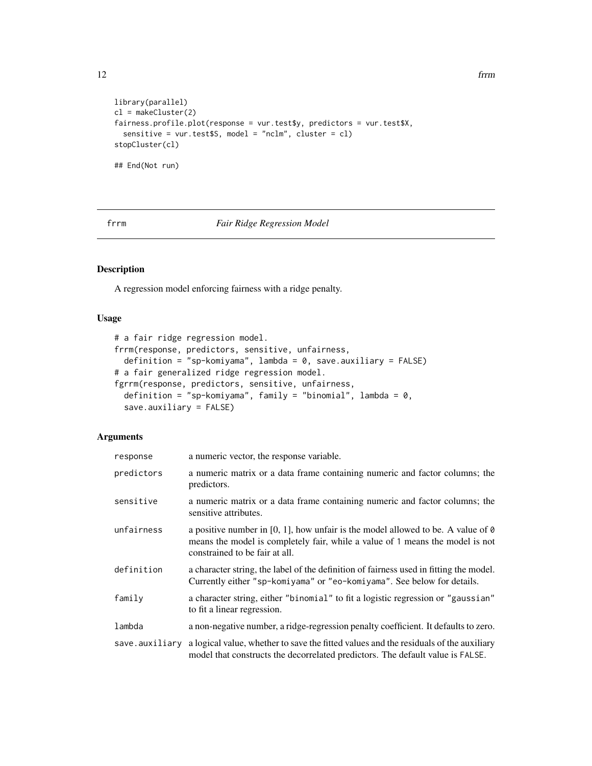```
library(parallel)
cl = makeCluster(2)
fairness.profile.plot(response = vur.test$y, predictors = vur.test$X,
  sensitive = vur.test$S, model = "nclm", cluster = cl)
stopCluster(cl)
## End(Not run)
```
#### <span id="page-11-1"></span>frrm *Fair Ridge Regression Model*

### <span id="page-11-2"></span>Description

A regression model enforcing fairness with a ridge penalty.

#### Usage

```
# a fair ridge regression model.
frrm(response, predictors, sensitive, unfairness,
  definition = "sp-komiyama", lambda = 0, save.auxiliary = FALSE)
# a fair generalized ridge regression model.
fgrrm(response, predictors, sensitive, unfairness,
  definition = "sp-komiyama", family = "binomial", lambda = 0,
  save.auxiliary = FALSE)
```
#### Arguments

| response       | a numeric vector, the response variable.                                                                                                                                                                   |
|----------------|------------------------------------------------------------------------------------------------------------------------------------------------------------------------------------------------------------|
| predictors     | a numeric matrix or a data frame containing numeric and factor columns; the<br>predictors.                                                                                                                 |
| sensitive      | a numeric matrix or a data frame containing numeric and factor columns; the<br>sensitive attributes.                                                                                                       |
| unfairness     | a positive number in [0, 1], how unfair is the model allowed to be. A value of $\theta$<br>means the model is completely fair, while a value of 1 means the model is not<br>constrained to be fair at all. |
| definition     | a character string, the label of the definition of fairness used in fitting the model.<br>Currently either "sp-komiyama" or "eo-komiyama". See below for details.                                          |
| family         | a character string, either "binomial" to fit a logistic regression or "gaussian"<br>to fit a linear regression.                                                                                            |
| lambda         | a non-negative number, a ridge-regression penalty coefficient. It defaults to zero.                                                                                                                        |
| save.auxiliary | a logical value, whether to save the fitted values and the residuals of the auxiliary<br>model that constructs the decorrelated predictors. The default value is FALSE.                                    |

<span id="page-11-0"></span>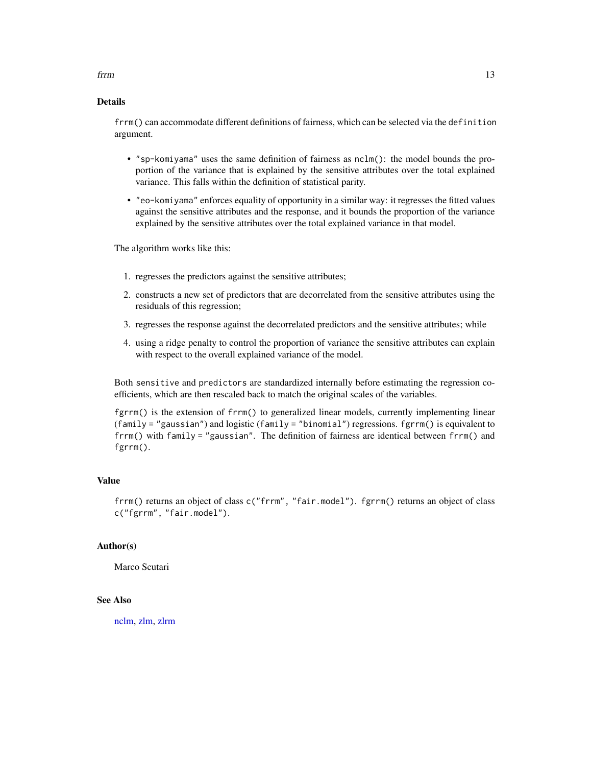### <span id="page-12-0"></span>from the contract of the contract of the contract of the contract of the contract of the contract of the contract of the contract of the contract of the contract of the contract of the contract of the contract of the contr

#### Details

frrm() can accommodate different definitions of fairness, which can be selected via the definition argument.

- "sp-komiyama" uses the same definition of fairness as nclm(): the model bounds the proportion of the variance that is explained by the sensitive attributes over the total explained variance. This falls within the definition of statistical parity.
- "eo-komiyama" enforces equality of opportunity in a similar way: it regresses the fitted values against the sensitive attributes and the response, and it bounds the proportion of the variance explained by the sensitive attributes over the total explained variance in that model.

The algorithm works like this:

- 1. regresses the predictors against the sensitive attributes;
- 2. constructs a new set of predictors that are decorrelated from the sensitive attributes using the residuals of this regression;
- 3. regresses the response against the decorrelated predictors and the sensitive attributes; while
- 4. using a ridge penalty to control the proportion of variance the sensitive attributes can explain with respect to the overall explained variance of the model.

Both sensitive and predictors are standardized internally before estimating the regression coefficients, which are then rescaled back to match the original scales of the variables.

fgrrm() is the extension of frrm() to generalized linear models, currently implementing linear (family = "gaussian") and logistic (family = "binomial") regressions. fgrrm() is equivalent to frrm() with family = "gaussian". The definition of fairness are identical between frrm() and fgrrm().

#### Value

frrm() returns an object of class c("frrm", "fair.model"). fgrrm() returns an object of class c("fgrrm", "fair.model").

#### Author(s)

Marco Scutari

#### See Also

[nclm,](#page-18-1) [zlm,](#page-21-1) [zlrm](#page-21-2)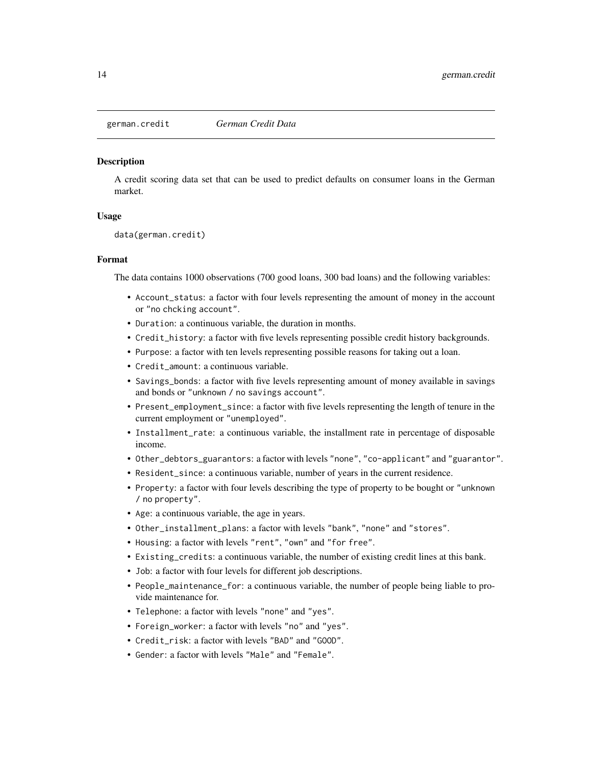<span id="page-13-0"></span>

#### **Description**

A credit scoring data set that can be used to predict defaults on consumer loans in the German market.

#### Usage

```
data(german.credit)
```
#### Format

The data contains 1000 observations (700 good loans, 300 bad loans) and the following variables:

- Account\_status: a factor with four levels representing the amount of money in the account or "no chcking account".
- Duration: a continuous variable, the duration in months.
- Credit\_history: a factor with five levels representing possible credit history backgrounds.
- Purpose: a factor with ten levels representing possible reasons for taking out a loan.
- Credit\_amount: a continuous variable.
- Savings\_bonds: a factor with five levels representing amount of money available in savings and bonds or "unknown / no savings account".
- Present\_employment\_since: a factor with five levels representing the length of tenure in the current employment or "unemployed".
- Installment\_rate: a continuous variable, the installment rate in percentage of disposable income.
- Other\_debtors\_guarantors: a factor with levels "none", "co-applicant" and "guarantor".
- Resident\_since: a continuous variable, number of years in the current residence.
- Property: a factor with four levels describing the type of property to be bought or "unknown / no property".
- Age: a continuous variable, the age in years.
- Other\_installment\_plans: a factor with levels "bank", "none" and "stores".
- Housing: a factor with levels "rent", "own" and "for free".
- Existing\_credits: a continuous variable, the number of existing credit lines at this bank.
- Job: a factor with four levels for different job descriptions.
- People\_maintenance\_for: a continuous variable, the number of people being liable to provide maintenance for.
- Telephone: a factor with levels "none" and "yes".
- Foreign\_worker: a factor with levels "no" and "yes".
- Credit\_risk: a factor with levels "BAD" and "GOOD".
- Gender: a factor with levels "Male" and "Female".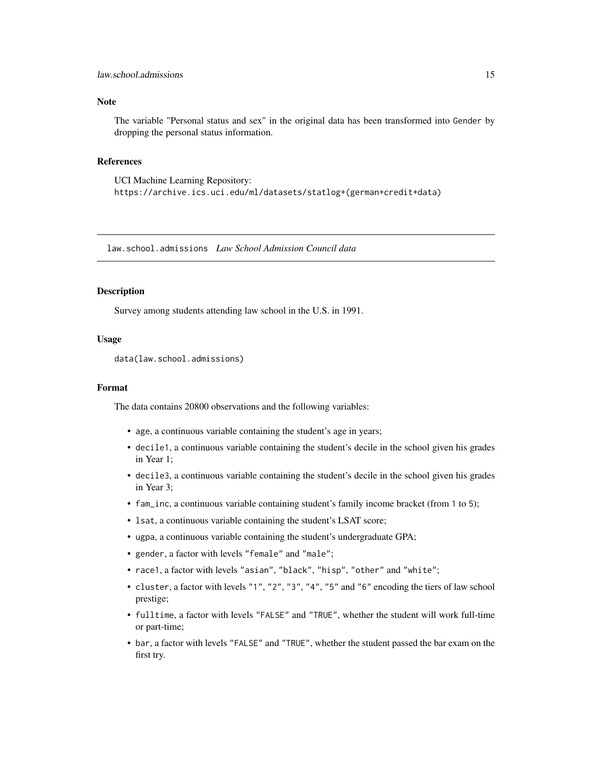#### <span id="page-14-0"></span>**Note**

The variable "Personal status and sex" in the original data has been transformed into Gender by dropping the personal status information.

#### References

UCI Machine Learning Repository: https://archive.ics.uci.edu/ml/datasets/statlog+(german+credit+data)

law.school.admissions *Law School Admission Council data*

#### Description

Survey among students attending law school in the U.S. in 1991.

#### Usage

```
data(law.school.admissions)
```
#### Format

The data contains 20800 observations and the following variables:

- age, a continuous variable containing the student's age in years;
- decile1, a continuous variable containing the student's decile in the school given his grades in Year 1;
- decile3, a continuous variable containing the student's decile in the school given his grades in Year 3;
- fam\_inc, a continuous variable containing student's family income bracket (from 1 to 5);
- lsat, a continuous variable containing the student's LSAT score;
- ugpa, a continuous variable containing the student's undergraduate GPA;
- gender, a factor with levels "female" and "male";
- race1, a factor with levels "asian", "black", "hisp", "other" and "white";
- cluster, a factor with levels "1", "2", "3", "4", "5" and "6" encoding the tiers of law school prestige;
- fulltime, a factor with levels "FALSE" and "TRUE", whether the student will work full-time or part-time;
- bar, a factor with levels "FALSE" and "TRUE", whether the student passed the bar exam on the first try.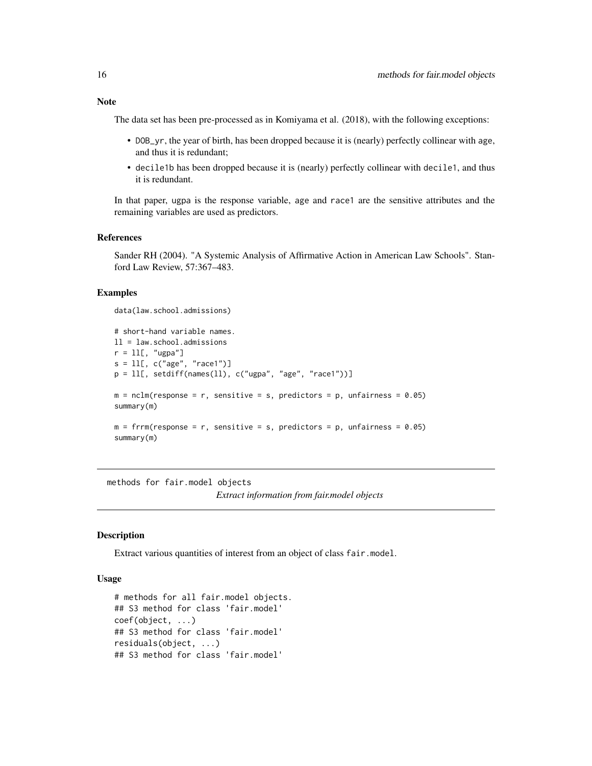<span id="page-15-0"></span>The data set has been pre-processed as in Komiyama et al. (2018), with the following exceptions:

- DOB\_yr, the year of birth, has been dropped because it is (nearly) perfectly collinear with age, and thus it is redundant;
- decile1b has been dropped because it is (nearly) perfectly collinear with decile1, and thus it is redundant.

In that paper, ugpa is the response variable, age and race1 are the sensitive attributes and the remaining variables are used as predictors.

#### References

Sander RH (2004). "A Systemic Analysis of Affirmative Action in American Law Schools". Stanford Law Review, 57:367–483.

#### Examples

```
data(law.school.admissions)
```

```
# short-hand variable names.
ll = law.school.admissions
r = 11[, "ugpa"]
s = 11[, c("age", "race1")]
p = 11[, setdiff(names(11), c("ugpa", "age", "race1"))]
m = \text{nclm}(\text{response} = r, \text{ sensitive} = s, \text{predictors} = p, \text{ unfairness} = 0.05)summary(m)
m = frrm(response = r, sensitive = s, predictors = p, unfairness = 0.05)
summary(m)
```
methods for fair.model objects *Extract information from fair.model objects*

#### **Description**

Extract various quantities of interest from an object of class fair.model.

#### Usage

```
# methods for all fair.model objects.
## S3 method for class 'fair.model'
coef(object, ...)
## S3 method for class 'fair.model'
residuals(object, ...)
## S3 method for class 'fair.model'
```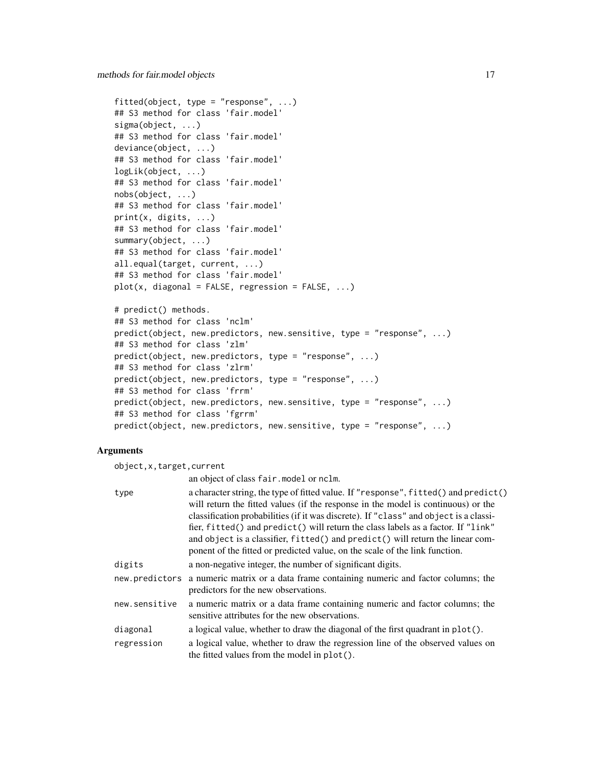```
fitted(object, type = "response", \ldots)
## S3 method for class 'fair.model'
sigma(object, ...)
## S3 method for class 'fair.model'
deviance(object, ...)
## S3 method for class 'fair.model'
logLik(object, ...)
## S3 method for class 'fair.model'
nobs(object, ...)
## S3 method for class 'fair.model'
print(x, digits, ...)
## S3 method for class 'fair.model'
summary(object, ...)
## S3 method for class 'fair.model'
all.equal(target, current, ...)
## S3 method for class 'fair.model'
plot(x, diagonal = FALSE, regression = FALSE, ...)# predict() methods.
## S3 method for class 'nclm'
predict(object, new.predictors, new.sensitive, type = "response", ...)
## S3 method for class 'zlm'
predict(object, new.predictors, type = "response", ...)
## S3 method for class 'zlrm'
```

```
predict(object, new.predictors, type = "response", ...)
## S3 method for class 'frrm'
predict(object, new.predictors, new.sensitive, type = "response", ...)
## S3 method for class 'fgrrm'
predict(object, new.predictors, new.sensitive, type = "response", ...)
```
#### Arguments

object,x,target,current

| an object of class fair. model or nclm. |  |  |  |  |
|-----------------------------------------|--|--|--|--|
|-----------------------------------------|--|--|--|--|

|                | $\mu$ . The state of $\mu$ is the state of the state of $\mu$                                                                                                                                                                                                                                                                                                                                                                                                                                                          |
|----------------|------------------------------------------------------------------------------------------------------------------------------------------------------------------------------------------------------------------------------------------------------------------------------------------------------------------------------------------------------------------------------------------------------------------------------------------------------------------------------------------------------------------------|
| type           | a character string, the type of fitted value. If "response", fitted() and predict()<br>will return the fitted values (if the response in the model is continuous) or the<br>classification probabilities (if it was discrete). If "class" and object is a classi-<br>fier, fitted() and predict() will return the class labels as a factor. If "link"<br>and object is a classifier, fitted() and predict() will return the linear com-<br>ponent of the fitted or predicted value, on the scale of the link function. |
| digits         | a non-negative integer, the number of significant digits.                                                                                                                                                                                                                                                                                                                                                                                                                                                              |
| new.predictors | a numeric matrix or a data frame containing numeric and factor columns; the<br>predictors for the new observations.                                                                                                                                                                                                                                                                                                                                                                                                    |
| new.sensitive  | a numeric matrix or a data frame containing numeric and factor columns; the<br>sensitive attributes for the new observations.                                                                                                                                                                                                                                                                                                                                                                                          |
| diagonal       | a logical value, whether to draw the diagonal of the first quadrant in plot().                                                                                                                                                                                                                                                                                                                                                                                                                                         |
| regression     | a logical value, whether to draw the regression line of the observed values on<br>the fitted values from the model in plot().                                                                                                                                                                                                                                                                                                                                                                                          |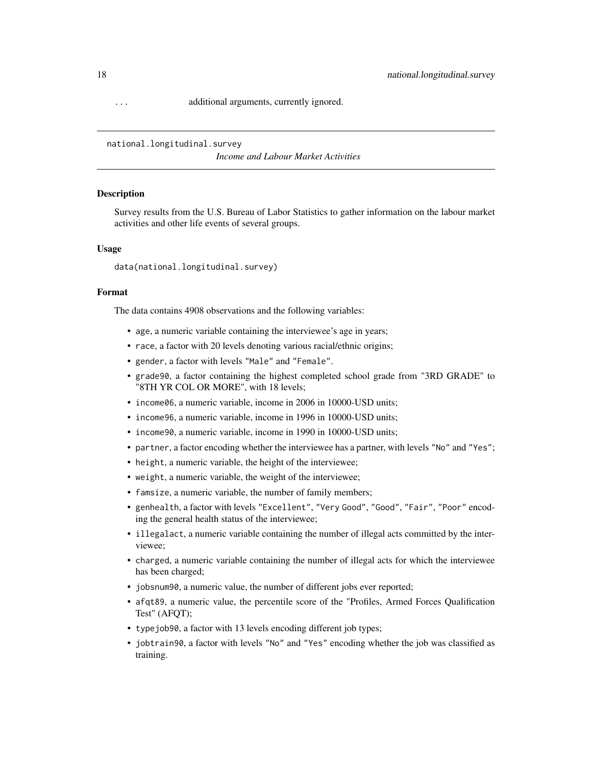<span id="page-17-0"></span>... additional arguments, currently ignored.

national.longitudinal.survey

*Income and Labour Market Activities*

#### Description

Survey results from the U.S. Bureau of Labor Statistics to gather information on the labour market activities and other life events of several groups.

#### Usage

data(national.longitudinal.survey)

#### Format

The data contains 4908 observations and the following variables:

- age, a numeric variable containing the interviewee's age in years;
- race, a factor with 20 levels denoting various racial/ethnic origins;
- gender, a factor with levels "Male" and "Female".
- grade90, a factor containing the highest completed school grade from "3RD GRADE" to "8TH YR COL OR MORE", with 18 levels;
- income06, a numeric variable, income in 2006 in 10000-USD units;
- income96, a numeric variable, income in 1996 in 10000-USD units;
- income90, a numeric variable, income in 1990 in 10000-USD units;
- partner, a factor encoding whether the interviewee has a partner, with levels "No" and "Yes";
- height, a numeric variable, the height of the interviewee;
- weight, a numeric variable, the weight of the interviewee;
- famsize, a numeric variable, the number of family members;
- genhealth, a factor with levels "Excellent", "Very Good", "Good", "Fair", "Poor" encoding the general health status of the interviewee;
- illegalact, a numeric variable containing the number of illegal acts committed by the interviewee;
- charged, a numeric variable containing the number of illegal acts for which the interviewee has been charged;
- jobsnum90, a numeric value, the number of different jobs ever reported;
- afqt89, a numeric value, the percentile score of the "Profiles, Armed Forces Qualification Test" (AFQT);
- typejob90, a factor with 13 levels encoding different job types;
- jobtrain90, a factor with levels "No" and "Yes" encoding whether the job was classified as training.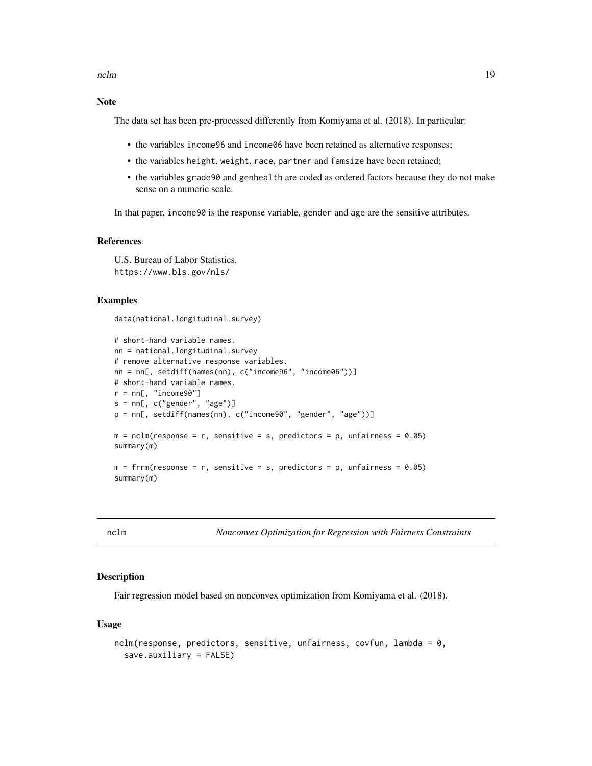#### <span id="page-18-0"></span>Note

The data set has been pre-processed differently from Komiyama et al. (2018). In particular:

- the variables income96 and income06 have been retained as alternative responses;
- the variables height, weight, race, partner and famsize have been retained;
- the variables grade90 and genhealth are coded as ordered factors because they do not make sense on a numeric scale.

In that paper, income90 is the response variable, gender and age are the sensitive attributes.

#### References

U.S. Bureau of Labor Statistics. https://www.bls.gov/nls/

#### Examples

data(national.longitudinal.survey)

```
# short-hand variable names.
nn = national.longitudinal.survey
# remove alternative response variables.
nn = nn[, setdiff(names(nn), c("income96", "income06"))]
# short-hand variable names.
r = nn[, "income90"]
s = nn[, c("gender", "age")]
p = nn[, setdiff(names(nn), c("income90", "gender", "age"))]
m = nclm(response = r, sensitive = s, predictors = p, unfairness = 0.05)
summary(m)
m = frrm(response = r, sensitive = s, predictors = p, unfairness = 0.05)
summary(m)
```
<span id="page-18-1"></span>nclm *Nonconvex Optimization for Regression with Fairness Constraints*

#### **Description**

Fair regression model based on nonconvex optimization from Komiyama et al. (2018).

#### Usage

```
nclm(response, predictors, sensitive, unfairness, covfun, lambda = 0,
  save.auxiliary = FALSE)
```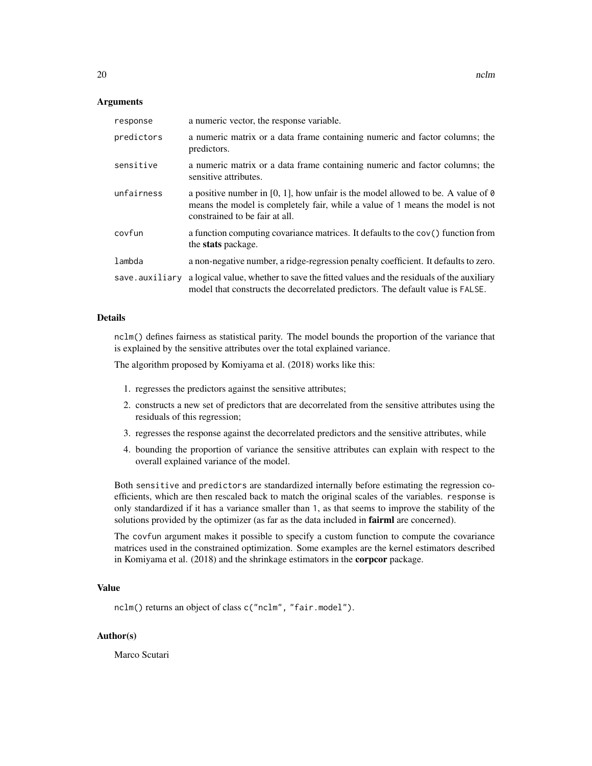#### Arguments

| response       | a numeric vector, the response variable.                                                                                                                                                                   |
|----------------|------------------------------------------------------------------------------------------------------------------------------------------------------------------------------------------------------------|
| predictors     | a numeric matrix or a data frame containing numeric and factor columns; the<br>predictors.                                                                                                                 |
| sensitive      | a numeric matrix or a data frame containing numeric and factor columns; the<br>sensitive attributes.                                                                                                       |
| unfairness     | a positive number in [0, 1], how unfair is the model allowed to be. A value of $\theta$<br>means the model is completely fair, while a value of 1 means the model is not<br>constrained to be fair at all. |
| covfun         | a function computing covariance matrices. It defaults to the $cov()$ function from<br>the <b>stats</b> package.                                                                                            |
| lambda         | a non-negative number, a ridge-regression penalty coefficient. It defaults to zero.                                                                                                                        |
| save.auxiliary | a logical value, whether to save the fitted values and the residuals of the auxiliary<br>model that constructs the decorrelated predictors. The default value is FALSE.                                    |

#### Details

nclm() defines fairness as statistical parity. The model bounds the proportion of the variance that is explained by the sensitive attributes over the total explained variance.

The algorithm proposed by Komiyama et al. (2018) works like this:

- 1. regresses the predictors against the sensitive attributes;
- 2. constructs a new set of predictors that are decorrelated from the sensitive attributes using the residuals of this regression;
- 3. regresses the response against the decorrelated predictors and the sensitive attributes, while
- 4. bounding the proportion of variance the sensitive attributes can explain with respect to the overall explained variance of the model.

Both sensitive and predictors are standardized internally before estimating the regression coefficients, which are then rescaled back to match the original scales of the variables. response is only standardized if it has a variance smaller than 1, as that seems to improve the stability of the solutions provided by the optimizer (as far as the data included in **fairml** are concerned).

The covfun argument makes it possible to specify a custom function to compute the covariance matrices used in the constrained optimization. Some examples are the kernel estimators described in Komiyama et al. (2018) and the shrinkage estimators in the corpcor package.

#### Value

nclm() returns an object of class c("nclm", "fair.model").

#### Author(s)

Marco Scutari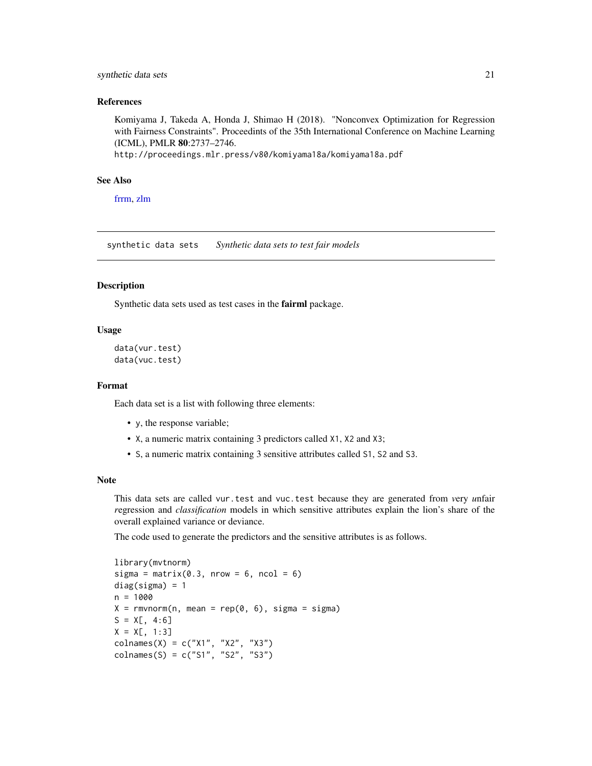#### <span id="page-20-0"></span>synthetic data sets 21

#### References

Komiyama J, Takeda A, Honda J, Shimao H (2018). "Nonconvex Optimization for Regression with Fairness Constraints". Proceedints of the 35th International Conference on Machine Learning (ICML), PMLR 80:2737–2746.

http://proceedings.mlr.press/v80/komiyama18a/komiyama18a.pdf

#### See Also

[frrm,](#page-11-1) [zlm](#page-21-1)

synthetic data sets *Synthetic data sets to test fair models*

#### **Description**

Synthetic data sets used as test cases in the fairml package.

#### Usage

```
data(vur.test)
data(vuc.test)
```
#### Format

Each data set is a list with following three elements:

- y, the response variable;
- X, a numeric matrix containing 3 predictors called X1, X2 and X3;
- S, a numeric matrix containing 3 sensitive attributes called S1, S2 and S3.

#### **Note**

This data sets are called vur.test and vuc.test because they are generated from *v*ery *u*nfair *r*egression and *classification* models in which sensitive attributes explain the lion's share of the overall explained variance or deviance.

The code used to generate the predictors and the sensitive attributes is as follows.

```
library(mvtnorm)
sigma = matrix(0.3, nrow = 6, ncol = 6)diag(sigma) = 1n = 1000X = rmvnorm(n, mean = rep(0, 6), sigma = sigma)S = X[, 4:6]X = X[, 1:3]colnames(X) = c("X1", "X2", "X3")
colnames(S) = c("S1", "S2", "S3")
```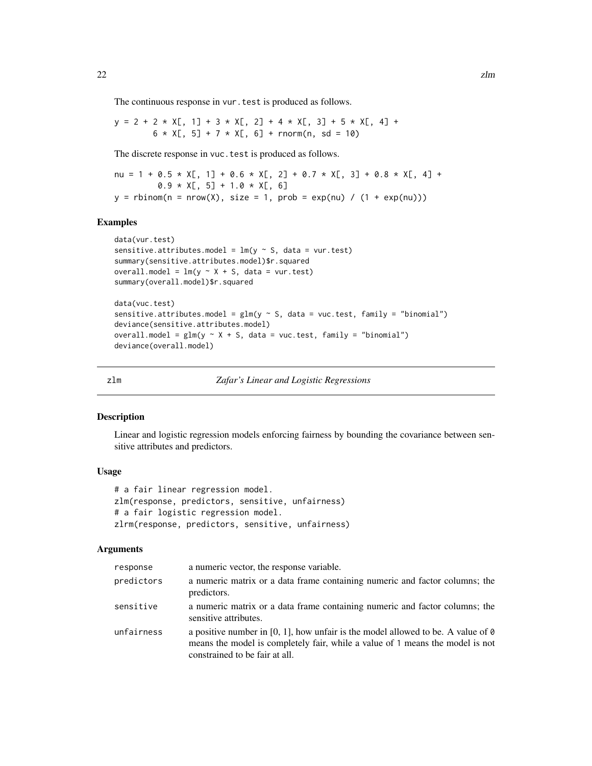<span id="page-21-0"></span>The continuous response in vur. test is produced as follows.

 $y = 2 + 2 \times X[,$  1] + 3  $\times X[,$  2] + 4  $\times X[,$  3] + 5  $\times X[,$  4] +  $6 \times X[, 5] + 7 \times X[, 6] + \text{rnorm}(n, sd = 10)$ 

The discrete response in vuc. test is produced as follows.

```
nu = 1 + 0.5 * X[, 1] + 0.6 * X[, 2] + 0.7 * X[, 3] + 0.8 * X[, 4] +
         0.9 \times X[, 5] + 1.0 \times X[, 6]y =rbinom(n = nrow(X), size = 1, prob = exp(nu) / (1 + exp(nu)))
```
#### Examples

```
data(vur.test)
sensitive.attributes.model = lm(y \sim S, data = vur.test)summary(sensitive.attributes.model)$r.squared
overall.model = lm(y \sim X + S, data = vur.test)summary(overall.model)$r.squared
data(vuc.test)
sensitive.attributes.model = glm(y \sim S, data = vac.test, family = "binomial")deviance(sensitive.attributes.model)
overall.model = glm(y \sim X + S, data = vac.test, family = "binomial")deviance(overall.model)
```
<span id="page-21-1"></span>

zlm *Zafar's Linear and Logistic Regressions*

#### <span id="page-21-2"></span>Description

Linear and logistic regression models enforcing fairness by bounding the covariance between sensitive attributes and predictors.

#### Usage

```
# a fair linear regression model.
zlm(response, predictors, sensitive, unfairness)
# a fair logistic regression model.
zlrm(response, predictors, sensitive, unfairness)
```
#### Arguments

| response   | a numeric vector, the response variable.                                                                                                                                                                   |
|------------|------------------------------------------------------------------------------------------------------------------------------------------------------------------------------------------------------------|
| predictors | a numeric matrix or a data frame containing numeric and factor columns; the<br>predictors.                                                                                                                 |
| sensitive  | a numeric matrix or a data frame containing numeric and factor columns; the<br>sensitive attributes.                                                                                                       |
| unfairness | a positive number in [0, 1], how unfair is the model allowed to be. A value of $\theta$<br>means the model is completely fair, while a value of 1 means the model is not<br>constrained to be fair at all. |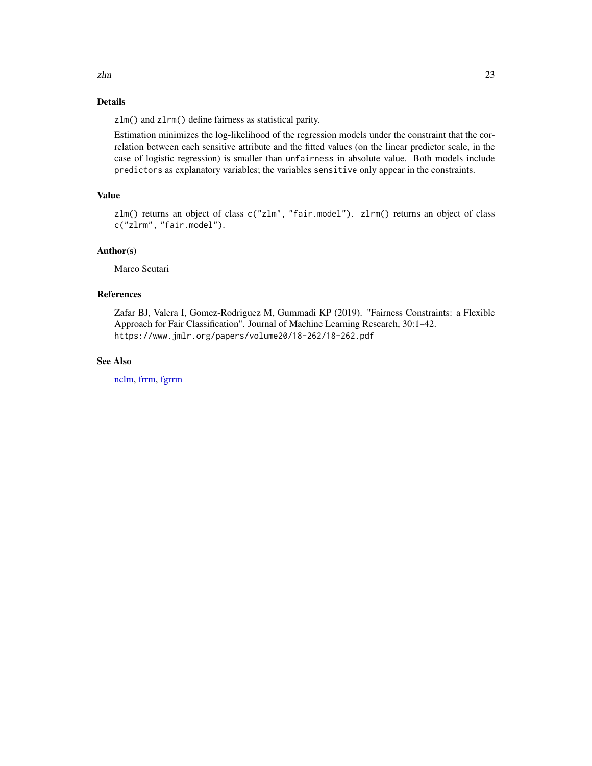<span id="page-22-0"></span> $zlm$  23

#### Details

zlm() and zlrm() define fairness as statistical parity.

Estimation minimizes the log-likelihood of the regression models under the constraint that the correlation between each sensitive attribute and the fitted values (on the linear predictor scale, in the case of logistic regression) is smaller than unfairness in absolute value. Both models include predictors as explanatory variables; the variables sensitive only appear in the constraints.

### Value

zlm() returns an object of class c("zlm", "fair.model"). zlrm() returns an object of class c("zlrm", "fair.model").

#### Author(s)

Marco Scutari

#### References

Zafar BJ, Valera I, Gomez-Rodriguez M, Gummadi KP (2019). "Fairness Constraints: a Flexible Approach for Fair Classification". Journal of Machine Learning Research, 30:1–42. https://www.jmlr.org/papers/volume20/18-262/18-262.pdf

#### See Also

[nclm,](#page-18-1) [frrm,](#page-11-1) [fgrrm](#page-11-2)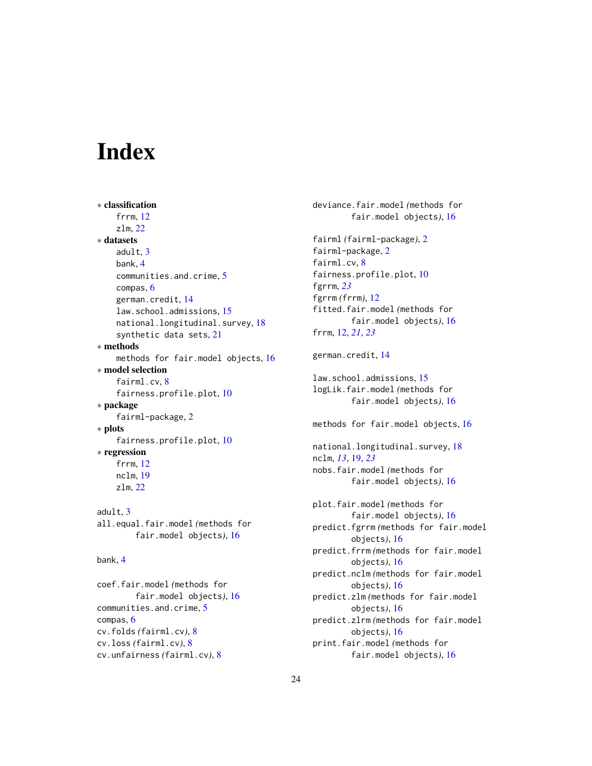# <span id="page-23-0"></span>**Index**

```
∗ classification
    frrm, 12
    zlm, 22
∗ datasets
    adult, 3
    bank, 4
    communities.and.crime, 5
    compas, 6
    german.credit, 14
    law.school.admissions, 15
    national.longitudinal.survey, 18
    synthetic data sets, 21
∗ methods
    methods for fair.model objects, 16
∗ model selection
    fairml.cv, 8
    fairness.profile.plot, 10
∗ package
    fairml-package, 2
∗ plots
    fairness.profile.plot, 10
∗ regression
    frrm, 12
    nclm, 19
    zlm, 22
adult, 3
all.equal.fair.model (methods for
        fair.model objects), 16
```

```
bank, 4
```
coef.fair.model *(*methods for fair.model objects*)*, [16](#page-15-0) communities.and.crime, [5](#page-4-0) compas, [6](#page-5-0) cv.folds *(*fairml.cv*)*, [8](#page-7-0) cv.loss *(*fairml.cv*)*, [8](#page-7-0) cv.unfairness *(*fairml.cv*)*, [8](#page-7-0)

```
deviance.fair.model (methods for
        fair.model objects), 16
fairml (fairml-package), 2
fairml-package, 2
fairml.cv, 8
fairness.profile.plot, 10
fgrrm, 23
fgrrm (frrm), 12
fitted.fair.model (methods for
        fair.model objects), 16
frrm, 12, 21, 23
german.credit, 14
law.school.admissions, 15
logLik.fair.model (methods for
        fair.model objects), 16
methods for fair.model objects, 16
national.longitudinal.survey, 18
nclm, 13, 19, 23
nobs.fair.model (methods for
        fair.model objects), 16
plot.fair.model (methods for
        fair.model objects), 16
predict.fgrrm (methods for fair.model
        objects), 16
predict.frrm (methods for fair.model
        objects), 16
predict.nclm (methods for fair.model
        objects), 16
predict.zlm (methods for fair.model
        objects), 16
predict.zlrm (methods for fair.model
        objects), 16
print.fair.model (methods for
        fair.model objects), 16
```